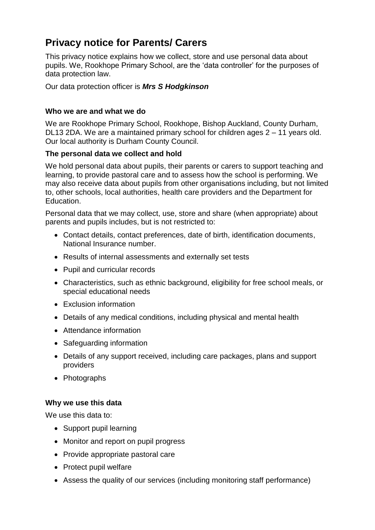# **Privacy notice for Parents/ Carers**

This privacy notice explains how we collect, store and use personal data about pupils. We, Rookhope Primary School, are the 'data controller' for the purposes of data protection law.

Our data protection officer is *Mrs S Hodgkinson*

# **Who we are and what we do**

We are Rookhope Primary School, Rookhope, Bishop Auckland, County Durham, DL13 2DA. We are a maintained primary school for children ages 2 – 11 years old. Our local authority is Durham County Council.

# **The personal data we collect and hold**

We hold personal data about pupils, their parents or carers to support teaching and learning, to provide pastoral care and to assess how the school is performing. We may also receive data about pupils from other organisations including, but not limited to, other schools, local authorities, health care providers and the Department for Education.

Personal data that we may collect, use, store and share (when appropriate) about parents and pupils includes, but is not restricted to:

- Contact details, contact preferences, date of birth, identification documents, National Insurance number.
- Results of internal assessments and externally set tests
- Pupil and curricular records
- Characteristics, such as ethnic background, eligibility for free school meals, or special educational needs
- Exclusion information
- Details of any medical conditions, including physical and mental health
- Attendance information
- Safeguarding information
- Details of any support received, including care packages, plans and support providers
- Photographs

# **Why we use this data**

We use this data to:

- Support pupil learning
- Monitor and report on pupil progress
- Provide appropriate pastoral care
- Protect pupil welfare
- Assess the quality of our services (including monitoring staff performance)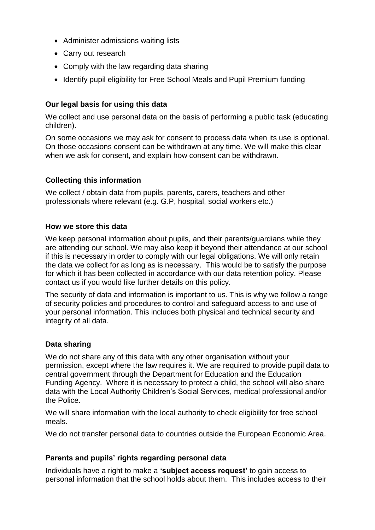- Administer admissions waiting lists
- Carry out research
- Comply with the law regarding data sharing
- Identify pupil eligibility for Free School Meals and Pupil Premium funding

# **Our legal basis for using this data**

We collect and use personal data on the basis of performing a public task (educating children).

On some occasions we may ask for consent to process data when its use is optional. On those occasions consent can be withdrawn at any time. We will make this clear when we ask for consent, and explain how consent can be withdrawn.

# **Collecting this information**

We collect / obtain data from pupils, parents, carers, teachers and other professionals where relevant (e.g. G.P, hospital, social workers etc.)

#### **How we store this data**

We keep personal information about pupils, and their parents/guardians while they are attending our school. We may also keep it beyond their attendance at our school if this is necessary in order to comply with our legal obligations. We will only retain the data we collect for as long as is necessary. This would be to satisfy the purpose for which it has been collected in accordance with our data retention policy. Please contact us if you would like further details on this policy.

The security of data and information is important to us. This is why we follow a range of security policies and procedures to control and safeguard access to and use of your personal information. This includes both physical and technical security and integrity of all data.

# **Data sharing**

We do not share any of this data with any other organisation without your permission, except where the law requires it. We are required to provide pupil data to central government through the Department for Education and the Education Funding Agency. Where it is necessary to protect a child, the school will also share data with the Local Authority Children's Social Services, medical professional and/or the Police.

We will share information with the local authority to check eligibility for free school meals.

We do not transfer personal data to countries outside the European Economic Area.

# **Parents and pupils' rights regarding personal data**

Individuals have a right to make a **'subject access request'** to gain access to personal information that the school holds about them. This includes access to their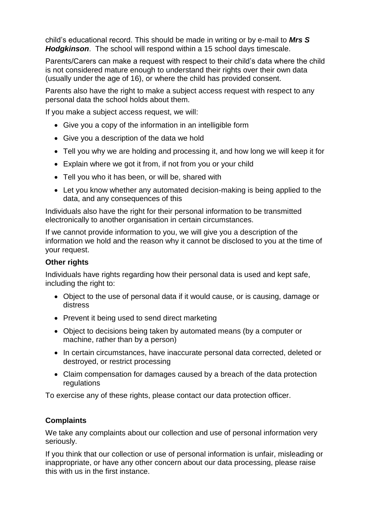child's educational record. This should be made in writing or by e-mail to *Mrs S Hodgkinson*. The school will respond within a 15 school days timescale.

Parents/Carers can make a request with respect to their child's data where the child is not considered mature enough to understand their rights over their own data (usually under the age of 16), or where the child has provided consent.

Parents also have the right to make a subject access request with respect to any personal data the school holds about them.

If you make a subject access request, we will:

- Give you a copy of the information in an intelligible form
- Give you a description of the data we hold
- Tell you why we are holding and processing it, and how long we will keep it for
- Explain where we got it from, if not from you or your child
- Tell you who it has been, or will be, shared with
- Let you know whether any automated decision-making is being applied to the data, and any consequences of this

Individuals also have the right for their personal information to be transmitted electronically to another organisation in certain circumstances.

If we cannot provide information to you, we will give you a description of the information we hold and the reason why it cannot be disclosed to you at the time of your request.

### **Other rights**

Individuals have rights regarding how their personal data is used and kept safe, including the right to:

- Object to the use of personal data if it would cause, or is causing, damage or distress
- Prevent it being used to send direct marketing
- Object to decisions being taken by automated means (by a computer or machine, rather than by a person)
- In certain circumstances, have inaccurate personal data corrected, deleted or destroyed, or restrict processing
- Claim compensation for damages caused by a breach of the data protection regulations

To exercise any of these rights, please contact our data protection officer.

# **Complaints**

We take any complaints about our collection and use of personal information very seriously.

If you think that our collection or use of personal information is unfair, misleading or inappropriate, or have any other concern about our data processing, please raise this with us in the first instance.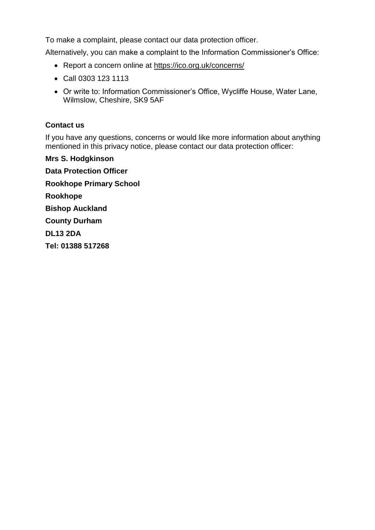To make a complaint, please contact our data protection officer.

Alternatively, you can make a complaint to the Information Commissioner's Office:

- Report a concern online at<https://ico.org.uk/concerns/>
- Call 0303 123 1113
- Or write to: Information Commissioner's Office, Wycliffe House, Water Lane, Wilmslow, Cheshire, SK9 5AF

# **Contact us**

If you have any questions, concerns or would like more information about anything mentioned in this privacy notice, please contact our data protection officer:

**Mrs S. Hodgkinson Data Protection Officer Rookhope Primary School Rookhope Bishop Auckland County Durham DL13 2DA Tel: 01388 517268**